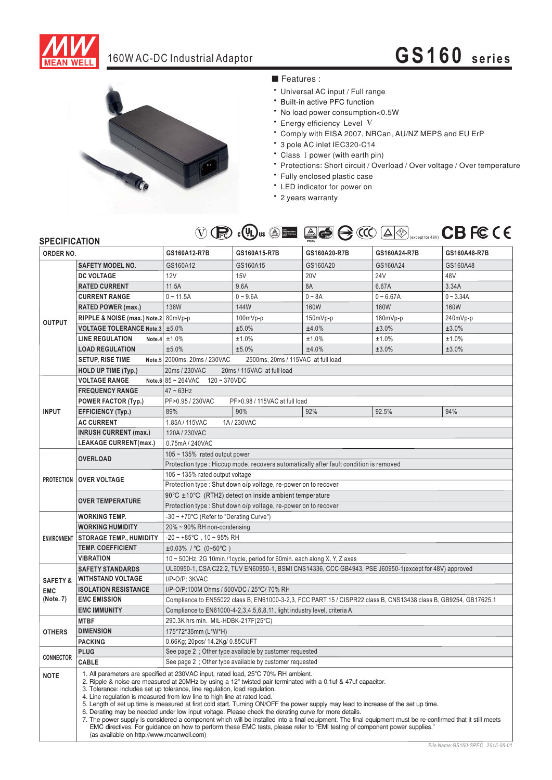

## 160W AC-DC Industrial Adaptor **GS160 series**



## ■ Features :

- \* Universal AC input / Full range
- \* Built-in active PFC function
- No load power consumption<0.5W
- \* Energy efficiency Level V
- \* Comply with EISA 2007, NRCan, AU/NZ MEPS and EU ErP
- 3 pole AC inlet IEC320-C14
- Class I power (with earth pin)
- Protections: Short circuit / Overload / Over voltage / Over temperature
- \* Fully enclosed plastic case
- \* LED indicator for power on
- \* 2 years warranty



| <b>SPECIFICATION</b> |                                                                                                                                         | $\vee$<br>$U_{\text{FC}}$ $U_{\text{C}}$ $\rightarrow$ $U_{\text{C}}$                                                                                                                                                                                                                                                                                                                                                                                                                                                                                                                                                                                                                                                                                                                                                                                                                                  |                                    | <b>SERVICE VERTIGE AVAIL LESSES</b> |                 |              |
|----------------------|-----------------------------------------------------------------------------------------------------------------------------------------|--------------------------------------------------------------------------------------------------------------------------------------------------------------------------------------------------------------------------------------------------------------------------------------------------------------------------------------------------------------------------------------------------------------------------------------------------------------------------------------------------------------------------------------------------------------------------------------------------------------------------------------------------------------------------------------------------------------------------------------------------------------------------------------------------------------------------------------------------------------------------------------------------------|------------------------------------|-------------------------------------|-----------------|--------------|
| ORDER NO.            |                                                                                                                                         | GS160A12-R7B                                                                                                                                                                                                                                                                                                                                                                                                                                                                                                                                                                                                                                                                                                                                                                                                                                                                                           | GS160A15-R7B                       | GS160A20-R7B                        | GS160A24-R7B    | GS160A48-R7B |
|                      | <b>SAFETY MODEL NO.</b>                                                                                                                 | GS160A12                                                                                                                                                                                                                                                                                                                                                                                                                                                                                                                                                                                                                                                                                                                                                                                                                                                                                               | GS160A15                           | GS160A20                            | GS160A24        | GS160A48     |
| <b>OUTPUT</b>        | <b>DC VOLTAGE</b>                                                                                                                       | 12V                                                                                                                                                                                                                                                                                                                                                                                                                                                                                                                                                                                                                                                                                                                                                                                                                                                                                                    | 15V                                | <b>20V</b>                          | 24 <sub>V</sub> | 48V          |
|                      | <b>RATED CURRENT</b>                                                                                                                    | 11.5A                                                                                                                                                                                                                                                                                                                                                                                                                                                                                                                                                                                                                                                                                                                                                                                                                                                                                                  | 9.6A                               | 8A                                  | 6.67A           | 3.34A        |
|                      | <b>CURRENT RANGE</b>                                                                                                                    | $0 - 11.5A$                                                                                                                                                                                                                                                                                                                                                                                                                                                                                                                                                                                                                                                                                                                                                                                                                                                                                            | $0 - 9.6A$                         | $0 - 8A$                            | $0 - 6.67A$     | $0 - 3.34A$  |
|                      | RATED POWER (max.)                                                                                                                      | <b>138W</b>                                                                                                                                                                                                                                                                                                                                                                                                                                                                                                                                                                                                                                                                                                                                                                                                                                                                                            | 144W                               | <b>160W</b>                         | 160W            | 160W         |
|                      | RIPPLE & NOISE (max.) Note.2 80mVp-p                                                                                                    |                                                                                                                                                                                                                                                                                                                                                                                                                                                                                                                                                                                                                                                                                                                                                                                                                                                                                                        | $100mVp-p$                         | 150mVp-p                            | 180mVp-p        | 240mVp-p     |
|                      | VOLTAGE TOLERANCE Note.3 ±5.0%                                                                                                          |                                                                                                                                                                                                                                                                                                                                                                                                                                                                                                                                                                                                                                                                                                                                                                                                                                                                                                        | ±5.0%                              | ±4.0%                               | ±3.0%           | ±3.0%        |
|                      | <b>LINE REGULATION</b>                                                                                                                  | Note.4 $\pm 1.0\%$                                                                                                                                                                                                                                                                                                                                                                                                                                                                                                                                                                                                                                                                                                                                                                                                                                                                                     | ±1.0%                              | ±1.0%                               | ±1.0%           | ±1.0%        |
|                      | <b>LOAD REGULATION</b>                                                                                                                  | ±5.0%                                                                                                                                                                                                                                                                                                                                                                                                                                                                                                                                                                                                                                                                                                                                                                                                                                                                                                  | ±5.0%                              | ±4.0%                               | ±3.0%           | ±3.0%        |
|                      | <b>SETUP, RISE TIME</b>                                                                                                                 | Note.5 2000ms, 20ms / 230VAC                                                                                                                                                                                                                                                                                                                                                                                                                                                                                                                                                                                                                                                                                                                                                                                                                                                                           | 2500ms, 20ms / 115VAC at full load |                                     |                 |              |
|                      | <b>HOLD UP TIME (Typ.)</b>                                                                                                              | 20ms / 230VAC<br>20ms / 115VAC at full load                                                                                                                                                                                                                                                                                                                                                                                                                                                                                                                                                                                                                                                                                                                                                                                                                                                            |                                    |                                     |                 |              |
|                      | <b>VOLTAGE RANGE</b>                                                                                                                    | Note.6 $85 - 264$ VAC $120 - 370$ VDC                                                                                                                                                                                                                                                                                                                                                                                                                                                                                                                                                                                                                                                                                                                                                                                                                                                                  |                                    |                                     |                 |              |
| <b>INPUT</b>         | <b>FREQUENCY RANGE</b>                                                                                                                  | $47 \sim 63$ Hz                                                                                                                                                                                                                                                                                                                                                                                                                                                                                                                                                                                                                                                                                                                                                                                                                                                                                        |                                    |                                     |                 |              |
|                      | <b>POWER FACTOR (Typ.)</b>                                                                                                              | PF>0.95 / 230VAC<br>PF>0.98 / 115VAC at full load                                                                                                                                                                                                                                                                                                                                                                                                                                                                                                                                                                                                                                                                                                                                                                                                                                                      |                                    |                                     |                 |              |
|                      | <b>EFFICIENCY (Typ.)</b>                                                                                                                | 89%                                                                                                                                                                                                                                                                                                                                                                                                                                                                                                                                                                                                                                                                                                                                                                                                                                                                                                    | 90%                                | 92%                                 | 92.5%           | 94%          |
|                      | <b>AC CURRENT</b>                                                                                                                       | 1.85A/115VAC                                                                                                                                                                                                                                                                                                                                                                                                                                                                                                                                                                                                                                                                                                                                                                                                                                                                                           | 1A/230VAC                          |                                     |                 |              |
|                      | <b>INRUSH CURRENT (max.)</b>                                                                                                            | 120A / 230VAC                                                                                                                                                                                                                                                                                                                                                                                                                                                                                                                                                                                                                                                                                                                                                                                                                                                                                          |                                    |                                     |                 |              |
|                      | <b>LEAKAGE CURRENT(max.)</b>                                                                                                            | 0.75mA / 240VAC                                                                                                                                                                                                                                                                                                                                                                                                                                                                                                                                                                                                                                                                                                                                                                                                                                                                                        |                                    |                                     |                 |              |
|                      |                                                                                                                                         | $105 \sim 135\%$ rated output power                                                                                                                                                                                                                                                                                                                                                                                                                                                                                                                                                                                                                                                                                                                                                                                                                                                                    |                                    |                                     |                 |              |
| <b>PROTECTION</b>    | <b>OVERLOAD</b>                                                                                                                         | Protection type : Hiccup mode, recovers automatically after fault condition is removed                                                                                                                                                                                                                                                                                                                                                                                                                                                                                                                                                                                                                                                                                                                                                                                                                 |                                    |                                     |                 |              |
|                      |                                                                                                                                         | 105 $\sim$ 135% rated output voltage                                                                                                                                                                                                                                                                                                                                                                                                                                                                                                                                                                                                                                                                                                                                                                                                                                                                   |                                    |                                     |                 |              |
|                      | <b>OVER VOLTAGE</b>                                                                                                                     | Protection type : Shut down o/p voltage, re-power on to recover                                                                                                                                                                                                                                                                                                                                                                                                                                                                                                                                                                                                                                                                                                                                                                                                                                        |                                    |                                     |                 |              |
|                      |                                                                                                                                         | 90°C ±10°C (RTH2) detect on inside ambient temperature                                                                                                                                                                                                                                                                                                                                                                                                                                                                                                                                                                                                                                                                                                                                                                                                                                                 |                                    |                                     |                 |              |
|                      | <b>OVER TEMPERATURE</b>                                                                                                                 | Protection type: Shut down o/p voltage, re-power on to recover                                                                                                                                                                                                                                                                                                                                                                                                                                                                                                                                                                                                                                                                                                                                                                                                                                         |                                    |                                     |                 |              |
| <b>ENVIRONMENT</b>   | <b>WORKING TEMP.</b>                                                                                                                    | -30 ~ +70°C (Refer to "Derating Curve")                                                                                                                                                                                                                                                                                                                                                                                                                                                                                                                                                                                                                                                                                                                                                                                                                                                                |                                    |                                     |                 |              |
|                      | <b>WORKING HUMIDITY</b>                                                                                                                 | $20\% \sim 90\%$ RH non-condensing                                                                                                                                                                                                                                                                                                                                                                                                                                                                                                                                                                                                                                                                                                                                                                                                                                                                     |                                    |                                     |                 |              |
|                      | <b>STORAGE TEMP., HUMIDITY</b>                                                                                                          | $-20 \sim +85^{\circ}$ C, 10 ~ 95% RH                                                                                                                                                                                                                                                                                                                                                                                                                                                                                                                                                                                                                                                                                                                                                                                                                                                                  |                                    |                                     |                 |              |
|                      | <b>TEMP. COEFFICIENT</b>                                                                                                                | $±0.03\%$ / °C (0~50°C)                                                                                                                                                                                                                                                                                                                                                                                                                                                                                                                                                                                                                                                                                                                                                                                                                                                                                |                                    |                                     |                 |              |
|                      | <b>VIBRATION</b>                                                                                                                        | 10 ~ 500Hz, 2G 10min./1cycle, period for 60min. each along X, Y, Z axes                                                                                                                                                                                                                                                                                                                                                                                                                                                                                                                                                                                                                                                                                                                                                                                                                                |                                    |                                     |                 |              |
|                      | <b>SAFETY STANDARDS</b>                                                                                                                 | UL60950-1, CSA C22.2, TUV EN60950-1, BSMI CNS14336, CCC GB4943, PSE J60950-1(except for 48V) approved                                                                                                                                                                                                                                                                                                                                                                                                                                                                                                                                                                                                                                                                                                                                                                                                  |                                    |                                     |                 |              |
| <b>SAFETY &amp;</b>  | <b>WITHSTAND VOLTAGE</b>                                                                                                                | I/P-O/P: 3KVAC                                                                                                                                                                                                                                                                                                                                                                                                                                                                                                                                                                                                                                                                                                                                                                                                                                                                                         |                                    |                                     |                 |              |
| <b>EMC</b>           | <b>ISOLATION RESISTANCE</b>                                                                                                             | I/P-O/P:100M Ohms / 500VDC / 25°C/ 70% RH                                                                                                                                                                                                                                                                                                                                                                                                                                                                                                                                                                                                                                                                                                                                                                                                                                                              |                                    |                                     |                 |              |
| (Note. 7)            | <b>EMC EMISSION</b><br>Compliance to EN55022 class B, EN61000-3-2,3, FCC PART 15 / CISPR22 class B, CNS13438 class B, GB9254, GB17625.1 |                                                                                                                                                                                                                                                                                                                                                                                                                                                                                                                                                                                                                                                                                                                                                                                                                                                                                                        |                                    |                                     |                 |              |
|                      | <b>EMC IMMUNITY</b>                                                                                                                     | Compliance to EN61000-4-2,3,4,5,6,8,11, light industry level, criteria A                                                                                                                                                                                                                                                                                                                                                                                                                                                                                                                                                                                                                                                                                                                                                                                                                               |                                    |                                     |                 |              |
|                      | <b>MTBF</b>                                                                                                                             | 290.3K hrs min. MIL-HDBK-217F(25°C)                                                                                                                                                                                                                                                                                                                                                                                                                                                                                                                                                                                                                                                                                                                                                                                                                                                                    |                                    |                                     |                 |              |
| <b>OTHERS</b>        | <b>DIMENSION</b>                                                                                                                        | 175*72*35mm (L*W*H)                                                                                                                                                                                                                                                                                                                                                                                                                                                                                                                                                                                                                                                                                                                                                                                                                                                                                    |                                    |                                     |                 |              |
|                      | <b>PACKING</b>                                                                                                                          | 0.66Kg; 20pcs/ 14.2Kg/ 0.85CUFT                                                                                                                                                                                                                                                                                                                                                                                                                                                                                                                                                                                                                                                                                                                                                                                                                                                                        |                                    |                                     |                 |              |
| <b>CONNECTOR</b>     | <b>PLUG</b>                                                                                                                             | See page 2 ; Other type available by customer requested                                                                                                                                                                                                                                                                                                                                                                                                                                                                                                                                                                                                                                                                                                                                                                                                                                                |                                    |                                     |                 |              |
|                      | <b>CABLE</b>                                                                                                                            | See page 2; Other type available by customer requested                                                                                                                                                                                                                                                                                                                                                                                                                                                                                                                                                                                                                                                                                                                                                                                                                                                 |                                    |                                     |                 |              |
| <b>NOTE</b>          | (as available on http://www.meanwell.com)                                                                                               | 1. All parameters are specified at 230VAC input, rated load, 25°C 70% RH ambient.<br>2. Ripple & noise are measured at 20MHz by using a 12" twisted pair terminated with a 0.1uf & 47uf capacitor.<br>3. Tolerance: includes set up tolerance, line regulation, load regulation.<br>4. Line regulation is measured from low line to high line at rated load.<br>5. Length of set up time is measured at first cold start. Turning ON/OFF the power supply may lead to increase of the set up time.<br>6. Derating may be needed under low input voltage. Please check the derating curve for more details.<br>7. The power supply is considered a component which will be installed into a final equipment. The final equipment must be re-confirmed that it still meets<br>EMC directives. For guidance on how to perform these EMC tests, please refer to "EMI testing of component power supplies." |                                    |                                     |                 |              |